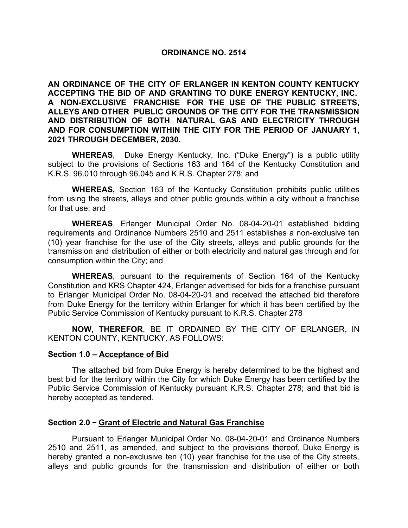### **ORDINANCE NO. 2514**

**AN ORDINANCE OF THE CITY OF ERLANGER IN KENTON COUNTY KENTUCKY ACCEPTING THE BID OF AND GRANTING TO DUKE ENERGY KENTUCKY, INC. A NON-EXCLUSIVE FRANCHISE FOR THE USE OF THE PUBLIC STREETS, ALLEYS AND OTHER PUBLIC GROUNDS OF THE CITY FOR THE TRANSMISSION AND DISTRIBUTION OF BOTH NATURAL GAS AND ELECTRICITY THROUGH AND FOR CONSUMPTION WITHIN THE CITY FOR THE PERIOD OF JANUARY 1, 2021 THROUGH DECEMBER, 2030.**

**WHEREAS**, Duke Energy Kentucky, Inc. ("Duke Energy") is a public utility subject to the provisions of Sections 163 and 164 of the Kentucky Constitution and K.R.S. 96.010 through 96.045 and K.R.S. Chapter 278; and

**WHEREAS,** Section 163 of the Kentucky Constitution prohibits public utilities from using the streets, alleys and other public grounds within a city without a franchise for that use; and

**WHEREAS**, Erlanger Municipal Order No. 08-04-20-01 established bidding requirements and Ordinance Numbers 2510 and 2511 establishes a non-exclusive ten (10) year franchise for the use of the City streets, alleys and public grounds for the transmission and distribution of either or both electricity and natural gas through and for consumption within the City; and

**WHEREAS**, pursuant to the requirements of Section 164 of the Kentucky Constitution and KRS Chapter 424, Erlanger advertised for bids for a franchise pursuant to Erlanger Municipal Order No. 08-04-20-01 and received the attached bid therefore from Duke Energy for the territory within Erlanger for which it has been certified by the Public Service Commission of Kentucky pursuant to K.R.S. Chapter 278

**NOW, THEREFOR**, BE IT ORDAINED BY THE CITY OF ERLANGER, IN KENTON COUNTY, KENTUCKY, AS FOLLOWS:

### **Section 1.0 – Acceptance of Bid**

The attached bid from Duke Energy is hereby determined to be the highest and best bid for the territory within the City for which Duke Energy has been certified by the Public Service Commission of Kentucky pursuant K.R.S. Chapter 278; and that bid is hereby accepted as tendered.

### **Section 2.0** ‒ **Grant of Electric and Natural Gas Franchise**

Pursuant to Erlanger Municipal Order No. 08-04-20-01 and Ordinance Numbers 2510 and 2511, as amended, and subject to the provisions thereof, Duke Energy is hereby granted a non-exclusive ten (10) year franchise for the use of the City streets, alleys and public grounds for the transmission and distribution of either or both